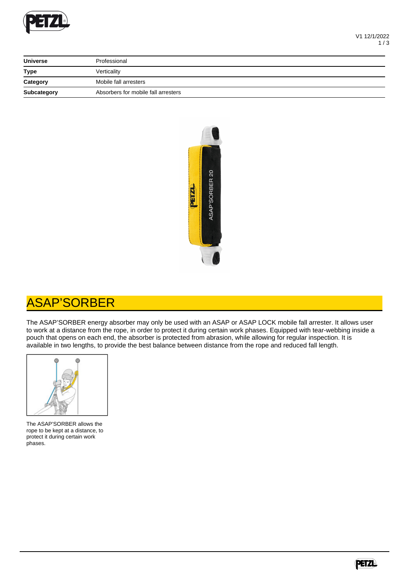

| <b>Universe</b>    | Professional                        |  |
|--------------------|-------------------------------------|--|
| <b>Type</b>        | Verticality                         |  |
| Category           | Mobile fall arresters               |  |
| <b>Subcategory</b> | Absorbers for mobile fall arresters |  |



## ASAP'SORBER

The ASAP'SORBER energy absorber may only be used with an ASAP or ASAP LOCK mobile fall arrester. It allows user to work at a distance from the rope, in order to protect it during certain work phases. Equipped with tear-webbing inside a pouch that opens on each end, the absorber is protected from abrasion, while allowing for regular inspection. It is available in two lengths, to provide the best balance between distance from the rope and reduced fall length.



The ASAP'SORBER allows the rope to be kept at a distance, to protect it during certain work phases.

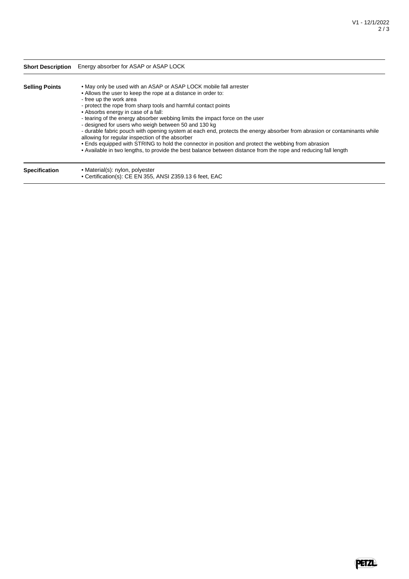|                       | <b>Short Description</b> Energy absorber for ASAP or ASAP LOCK                                                                                                                                                                                                                                                                                                                                                                                                                                                                                                                                                                                                                                                                                                                                                          |  |
|-----------------------|-------------------------------------------------------------------------------------------------------------------------------------------------------------------------------------------------------------------------------------------------------------------------------------------------------------------------------------------------------------------------------------------------------------------------------------------------------------------------------------------------------------------------------------------------------------------------------------------------------------------------------------------------------------------------------------------------------------------------------------------------------------------------------------------------------------------------|--|
| <b>Selling Points</b> | • May only be used with an ASAP or ASAP LOCK mobile fall arrester<br>• Allows the user to keep the rope at a distance in order to:<br>- free up the work area<br>- protect the rope from sharp tools and harmful contact points<br>• Absorbs energy in case of a fall:<br>- tearing of the energy absorber webbing limits the impact force on the user<br>- designed for users who weigh between 50 and 130 kg<br>- durable fabric pouch with opening system at each end, protects the energy absorber from abrasion or contaminants while<br>allowing for regular inspection of the absorber<br>• Ends equipped with STRING to hold the connector in position and protect the webbing from abrasion<br>• Available in two lengths, to provide the best balance between distance from the rope and reducing fall length |  |
| Snacification         | $\bullet$ Material(s); nylon, nolyester                                                                                                                                                                                                                                                                                                                                                                                                                                                                                                                                                                                                                                                                                                                                                                                 |  |

**Specification** • Material(s): nylon, polyester • Certification(s): CE EN 355, ANSI Z359.13 6 feet, EAC